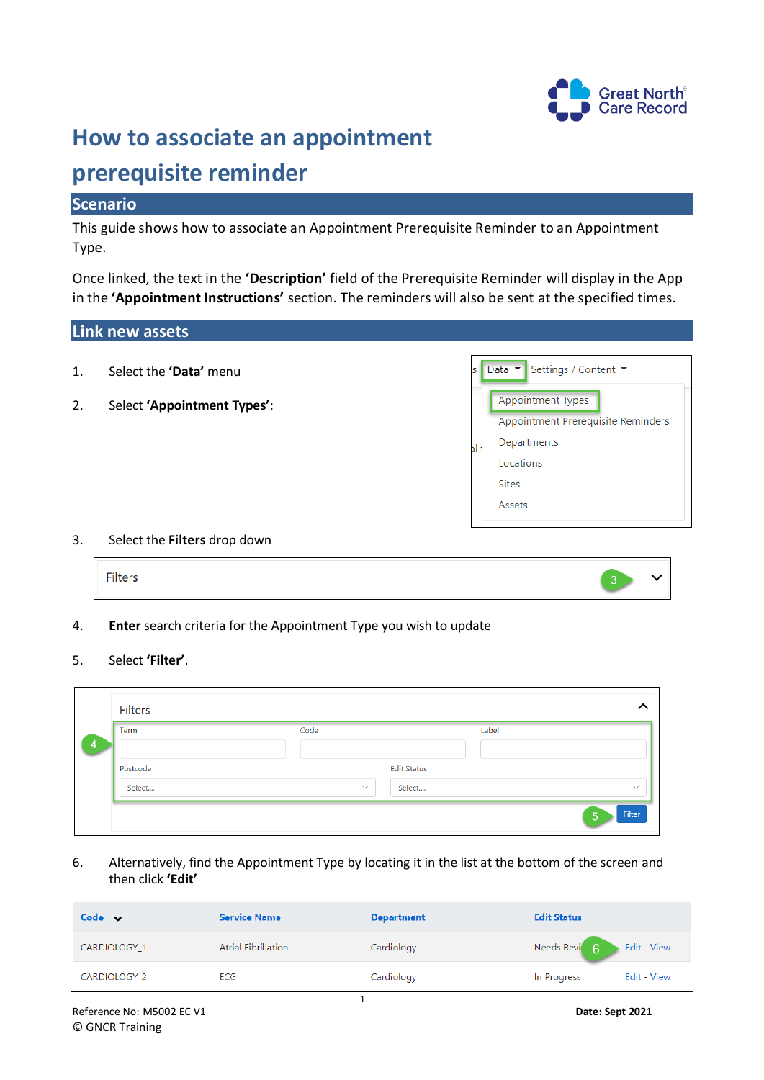

# **How to associate an appointment**

# **prerequisite reminder**

# **Scenario**

This guide shows how to associate an Appointment Prerequisite Reminder to an Appointment Type.

Once linked, the text in the **'Description'** field of the Prerequisite Reminder will display in the App in the **'Appointment Instructions'** section. The reminders will also be sent at the specified times.

# **Link new assets**

- 1. Select the **'Data'** menu
- 2. Select **'Appointment Types'**:

|   | Settings / Content ▼               |
|---|------------------------------------|
|   | <b>Appointment Types</b>           |
|   | Appointment Prerequisite Reminders |
| a | Departments                        |
|   | Locations                          |
|   | <b>Sites</b>                       |
|   | Assets                             |

#### 3. Select the **Filters** drop down



4. **Enter** search criteria for the Appointment Type you wish to update

#### 5. Select **'Filter'**.

| Term     | Code                   | Label |  |
|----------|------------------------|-------|--|
|          |                        |       |  |
| Postcode | <b>Edit Status</b>     |       |  |
| Select   | Select<br>$\checkmark$ |       |  |

6. Alternatively, find the Appointment Type by locating it in the list at the bottom of the screen and then click **'Edit'**

| Code $\vee$         | <b>Service Name</b>        | <b>Department</b> | <b>Edit Status</b>                     |
|---------------------|----------------------------|-------------------|----------------------------------------|
| <b>CARDIOLOGY 1</b> | <b>Atrial Fibrillation</b> | Cardiology        | Needs Revi <sup>6</sup><br>Edit - View |
| CARDIOLOGY_2        | ECG                        | Cardiology        | Edit - View<br>In Progress             |